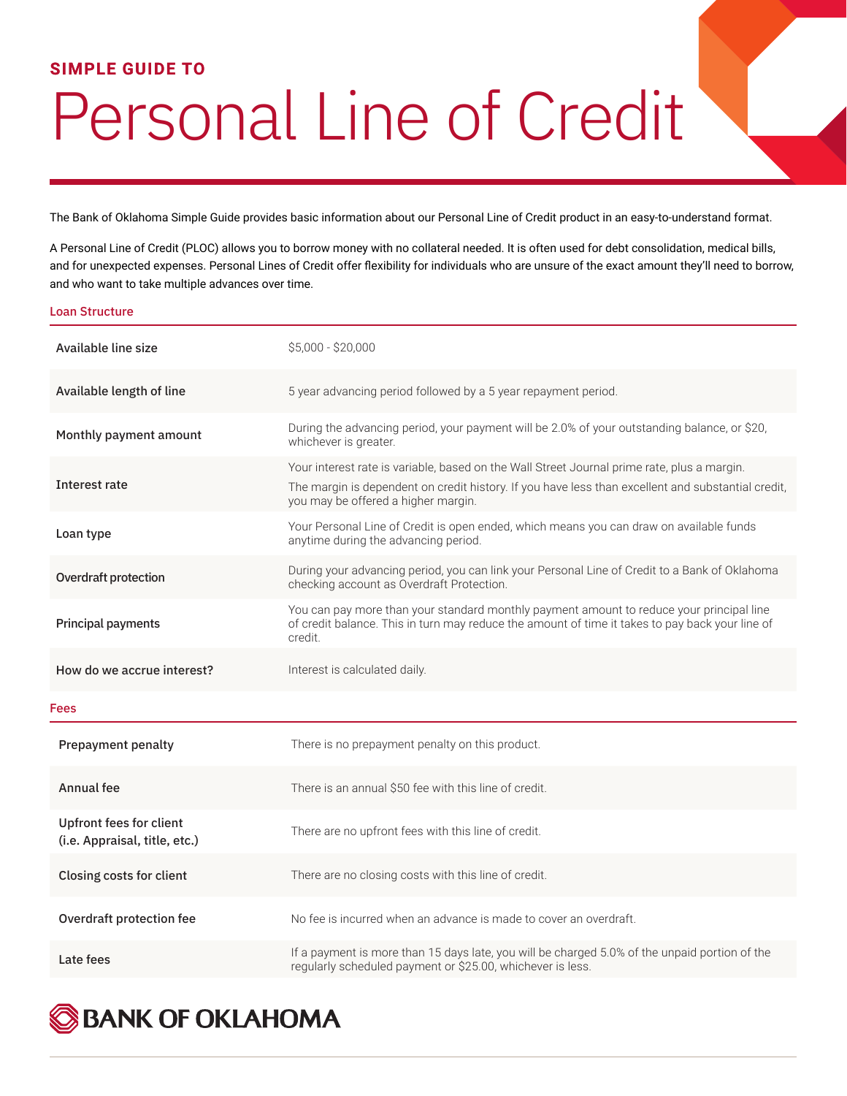## **SIMPLE GUIDE TO**

## Personal Line of Credit

The Bank of Oklahoma Simple Guide provides basic information about our Personal Line of Credit product in an easy-to-understand format.

A Personal Line of Credit (PLOC) allows you to borrow money with no collateral needed. It is often used for debt consolidation, medical bills, and for unexpected expenses. Personal Lines of Credit offer flexibility for individuals who are unsure of the exact amount they'll need to borrow, and who want to take multiple advances over time.

## Loan Structure

| Available line size                                             | $$5,000 - $20,000$                                                                                                                                                                                                                       |
|-----------------------------------------------------------------|------------------------------------------------------------------------------------------------------------------------------------------------------------------------------------------------------------------------------------------|
| Available length of line                                        | 5 year advancing period followed by a 5 year repayment period.                                                                                                                                                                           |
| Monthly payment amount                                          | During the advancing period, your payment will be 2.0% of your outstanding balance, or \$20,<br>whichever is greater.                                                                                                                    |
| Interest rate                                                   | Your interest rate is variable, based on the Wall Street Journal prime rate, plus a margin.<br>The margin is dependent on credit history. If you have less than excellent and substantial credit,<br>you may be offered a higher margin. |
| Loan type                                                       | Your Personal Line of Credit is open ended, which means you can draw on available funds<br>anytime during the advancing period.                                                                                                          |
| Overdraft protection                                            | During your advancing period, you can link your Personal Line of Credit to a Bank of Oklahoma<br>checking account as Overdraft Protection.                                                                                               |
| <b>Principal payments</b>                                       | You can pay more than your standard monthly payment amount to reduce your principal line<br>of credit balance. This in turn may reduce the amount of time it takes to pay back your line of<br>credit.                                   |
|                                                                 |                                                                                                                                                                                                                                          |
| How do we accrue interest?                                      | Interest is calculated daily.                                                                                                                                                                                                            |
| Fees                                                            |                                                                                                                                                                                                                                          |
| <b>Prepayment penalty</b>                                       | There is no prepayment penalty on this product.                                                                                                                                                                                          |
| Annual fee                                                      | There is an annual \$50 fee with this line of credit.                                                                                                                                                                                    |
| <b>Upfront fees for client</b><br>(i.e. Appraisal, title, etc.) | There are no upfront fees with this line of credit.                                                                                                                                                                                      |
| Closing costs for client                                        | There are no closing costs with this line of credit.                                                                                                                                                                                     |
| Overdraft protection fee                                        | No fee is incurred when an advance is made to cover an overdraft.                                                                                                                                                                        |